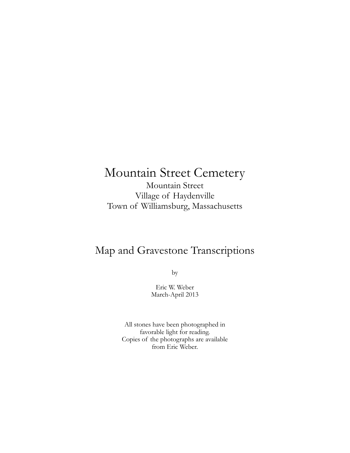# Mountain Street Cemetery

Mountain Street Village of Haydenville Town of Williamsburg, Massachusetts

## Map and Gravestone Transcriptions

by

Eric W. Weber March-April 2013

All stones have been photographed in favorable light for reading. Copies of the photographs are available from Eric Weber.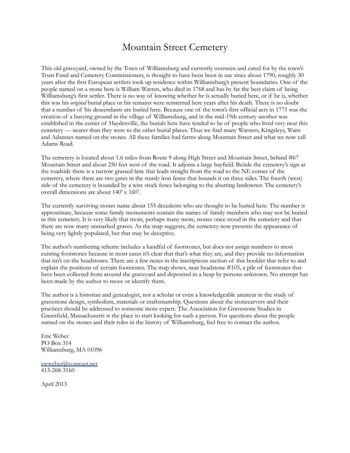## Mountain Street Cemetery

This old graveyard, owned by the Town of Williamsburg and currently overseen and cared for by the town's Trust Fund and Cemetery Commissioners, is thought to have been been in use since about 1790, roughly 30 years after the first European settlers took up residence within Williamsburg's present boundaries. One of the people named on a stone here is William Warren, who died in 1768 and has by far the best claim of being Williamsburg's first settler. There is no way of knowing whether he is actually buried here, or if he is, whether this was his *original* burial place or his remains were reinterred here years after his death. There is no doubt that a number of his descendants are buried here. Because one of the town's first official acts in 1771 was the creation of a burying ground in the village of Williamsburg, and in the mid-19th century another was established in the center of Haydenville, the burials here have tended to be of people who lived very near this cemetery — nearer than they were to the other burial places. Thus we find many Warners, Kingsleys, Waits and Adamses named on the stones. All these families had farms along Mountain Street and what we now call Adams Road.

The cemetery is located about 1.6 miles from Route 9 along High Street and Mountain Street, behind #67 Mountain Street and about 250 feet west of the road. It adjoins a large hayfield. Beside the cemetery's sign at the roadside there is a narrow grassed lane that leads straight from the road to the NE corner of the cemetery, where there are two gates in the sturdy iron fence that bounds it on three sides. The fourth (west) side of the cemetery is bounded by a wire stock fence belonging to the abutting landowner. The cemetery's overall dimensions are about 140' x 160'.

The currently surviving stones name about 155 decedents who are thought to be buried here. The number is approximate, because some family monuments contain the names of family members who may not be buried in this cemetery. It is very likely that more, perhaps many more, stones once stood in the cemetery and that there are now many unmarked graves. As the map suggests, the cemetery now presents the appearance of being very lightly populated, but that may be deceptive.

The author's numbering scheme includes a handful of footstones, but does not assign numbers to most existing footstones because in most cases it's clear that that's what they are, and they provide no information that isn't on the headstones. There are a few notes in the inscriptions section of this booklet that refer to and explain the positions of certain footstones. The map shows, near headstone #105, a pile of footstones that have been collected from around the graveyard and deposited in a heap by persons unknown. No attempt has been made by the author to move or identify them.

The author is a historian and genealogist, not a scholar or even a knowledgeable amateur in the study of gravestone design, symbolism, materials or craftsmanship. Questions about the stonecarvers and their practices should be addressed to someone more expert. The Association for Gravestone Studies in Greenfield, Massachusetts is the place to start looking for such a person. For questions about the people named on the stones and their roles in the history of Williamsburg, feel free to contact the author.

Eric Weber PO Box 314 Williamsburg, MA 01096

[ewweber@comcast.net](mailto:ewweber@comcast.net) 413-268-3160

April 2013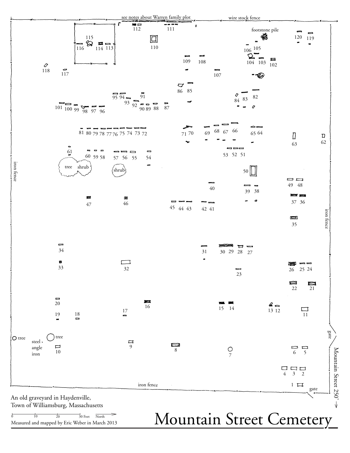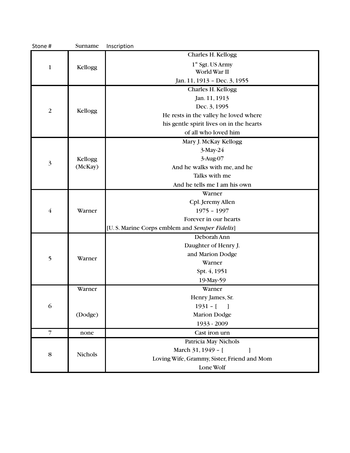| Stone #        | Surname | Inscription                                   |
|----------------|---------|-----------------------------------------------|
|                |         | Charles H. Kellogg                            |
| $\mathbf{1}$   | Kellogg | 1 <sup>st</sup> Sgt. US Army                  |
|                |         | World War II                                  |
|                |         | Jan. 11, 1913 - Dec. 3, 1955                  |
|                |         | Charles H. Kellogg                            |
|                |         | Jan. 11, 1913                                 |
| $\overline{2}$ | Kellogg | Dec. 3, 1995                                  |
|                |         | He rests in the valley he loved where         |
|                |         | his gentle spirit lives on in the hearts      |
|                |         | of all who loved him                          |
|                |         | Mary J. McKay Kellogg                         |
|                |         | 3-May-24                                      |
| 3              | Kellogg | 3-Aug-07                                      |
|                | (McKay) | And he walks with me, and he                  |
|                |         | Talks with me                                 |
|                |         | And he tells me I am his own                  |
|                |         | Warner                                        |
|                |         | Cpl. Jeremy Allen                             |
| $\overline{4}$ | Warner  | $1975 - 1997$                                 |
|                |         | Forever in our hearts                         |
|                |         | [U.S. Marine Corps emblem and Semper Fidelis] |
|                |         | Deborah Ann                                   |
|                |         | Daughter of Henry J.                          |
| 5              | Warner  | and Marion Dodge                              |
|                |         | Warner                                        |
|                |         | Spt. 4, 1951                                  |
|                |         | 19-May-59                                     |
|                | Warner  | Warner                                        |
|                |         | Henry James, Sr.                              |
| 6              |         | $1931 -$ [<br>$\Box$                          |
|                | (Dodge) | <b>Marion Dodge</b>                           |
|                |         | 1933 - 2009                                   |
| $\overline{7}$ | none    | Cast iron urn                                 |
|                |         | Patricia May Nichols                          |
| 8              | Nichols | March 31, 1949 - [<br>J.                      |
|                |         | Loving Wife, Grammy, Sister, Friend and Mom   |
|                |         | Lone Wolf                                     |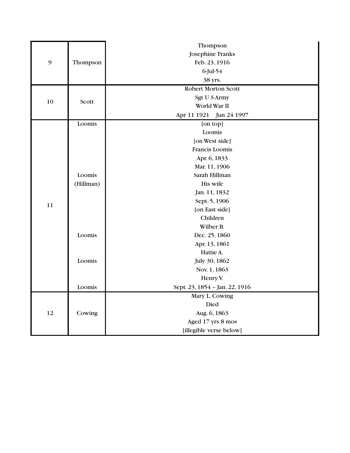|    |           | Thompson                       |
|----|-----------|--------------------------------|
|    |           | Josephine Franks               |
| 9  | Thompson  | Feb. 23, 1916                  |
|    |           | $6$ -Jul-54                    |
|    |           | 38 yrs.                        |
|    |           | Robert Morton Scott            |
| 10 |           | Sgt U S Army                   |
|    | Scott     | World War II                   |
|    |           | Apr 11 1921 Jun 24 1997        |
|    | Loomis    | [on top]                       |
|    |           | Loomis                         |
|    |           | [on West side]                 |
|    |           | Francis Loomis                 |
|    |           | Apr. 6, 1833                   |
|    |           | Mar. 11, 1906                  |
|    | Loomis    | Sarah Hillman                  |
|    | (Hillman) | His wife                       |
|    |           | Jan. 11, 1832                  |
| 11 |           | Sept. 5, 1906                  |
|    |           | [on East side]                 |
|    |           | Children                       |
|    |           | Wilber B.                      |
|    | Loomis    | Dec. 25, 1860                  |
|    |           | Apr. 13, 1861                  |
|    |           | Hattie A.                      |
|    | Loomis    | July 30, 1862                  |
|    |           | Nov. 1, 1863                   |
|    |           | Henry V.                       |
|    | Loomis    | Sept. 23, 1854 - Jan. 22, 1916 |
|    |           | Mary L. Cowing                 |
|    |           | Died                           |
| 12 | Cowing    | Aug. 6, 1863                   |
|    |           | Aged 17 yrs 8 mos              |
|    |           | [illegible verse below]        |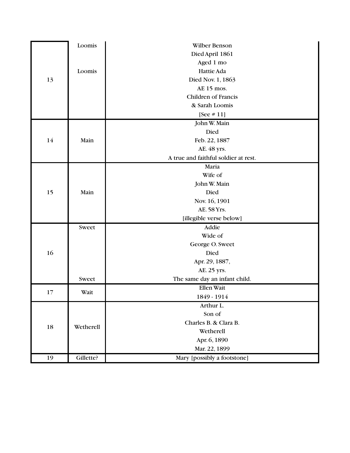|    | Loomis    | Wilber Benson                        |
|----|-----------|--------------------------------------|
|    |           | Died April 1861                      |
|    |           | Aged 1 mo                            |
|    | Loomis    | Hattie Ada                           |
| 13 |           | Died Nov. 1, 1863                    |
|    |           | AE 15 mos.                           |
|    |           | <b>Children of Francis</b>           |
|    |           | & Sarah Loomis                       |
|    |           | [See $# 11$ ]                        |
|    |           | John W. Main                         |
|    |           | Died                                 |
| 14 | Main      | Feb. 22, 1887                        |
|    |           | AE. 48 yrs.                          |
|    |           | A true and faithful soldier at rest. |
|    |           | Maria                                |
|    |           | Wife of                              |
|    |           | John W. Main                         |
| 15 | Main      | Died                                 |
|    |           | Nov. 16, 1901                        |
|    |           | AE. 58 Yrs.                          |
|    |           | [illegible verse below]              |
|    | Sweet     | Addie                                |
|    |           | Wide of                              |
|    |           | George O. Sweet                      |
| 16 |           | Died                                 |
|    |           | Apr. 29, 1887,                       |
|    |           | AE. 25 yrs.                          |
|    | Sweet     | The same day an infant child.        |
| 17 | Wait      | Ellen Wait                           |
|    |           | 1849 - 1914                          |
| 18 |           | Arthur L.                            |
|    |           | Son of                               |
|    | Wetherell | Charles B. & Clara B.                |
|    |           | Wetherell                            |
|    |           | Apr. 6, 1890                         |
|    |           | Mar. 22, 1899                        |
| 19 | Gillette? | Mary [possibly a footstone]          |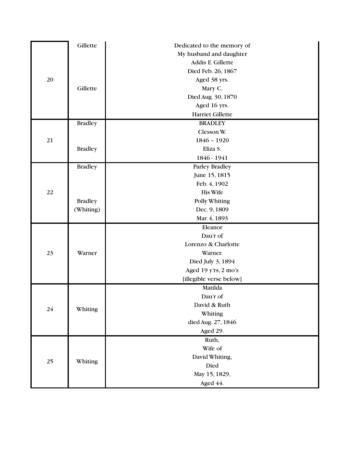|    | Gillette       | Dedicated to the memory of |
|----|----------------|----------------------------|
|    |                | My husband and daughter    |
|    |                | Addis E. Gillette          |
|    |                | Died Feb. 26, 1867         |
| 20 |                | Aged 38 yrs.               |
|    | Gillette       | Mary C.                    |
|    |                | Died Aug. 30, 1870         |
|    |                | Aged 16 yrs.               |
|    |                | <b>Harriet Gillette</b>    |
|    | <b>Bradley</b> | <b>BRADLEY</b>             |
|    |                | Clesson W.                 |
| 21 |                | 1846 - 1920                |
|    | <b>Bradley</b> | Eliza S.                   |
|    |                | 1846 - 1941                |
|    | <b>Bradley</b> | Parley Bradley             |
|    |                | June 15, 1815              |
|    |                | Feb. 4, 1902               |
| 22 |                | <b>His Wife</b>            |
|    | <b>Bradley</b> | Polly Whiting              |
|    | (Whiting)      | Dec. 9, 1809               |
|    |                | Mar. 4, 1893               |
|    |                | Eleanor                    |
|    |                | Dau'r of                   |
|    |                | Lorenzo & Charlotte        |
| 23 | Warner         | Warner.                    |
|    |                | Died July 3, 1894          |
|    |                | Aged 19 y'rs, 2 mo's       |
|    |                | [illegible verse below]    |
|    |                | Matilda                    |
|    |                | Dau'r of                   |
| 24 | Whiting        | David & Ruth               |
|    |                | Whiting                    |
|    |                | died Aug. 27, 1846         |
|    |                | Aged 29.                   |
|    |                | Ruth,                      |
|    |                | Wife of                    |
| 25 | Whiting        | David Whiting,             |
|    |                | Died                       |
|    |                | May 15, 1829,              |
|    |                | Aged 44.                   |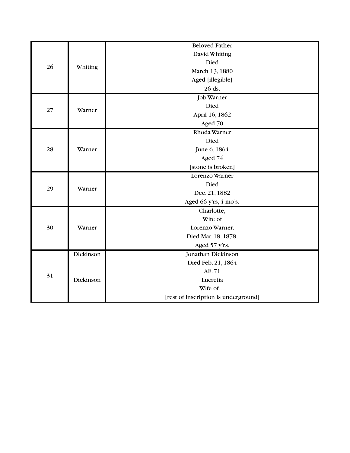|    |           | <b>Beloved Father</b>                |
|----|-----------|--------------------------------------|
|    |           | David Whiting                        |
|    |           | Died                                 |
| 26 | Whiting   | March 13, 1880                       |
|    |           | Aged [illegible]                     |
|    |           | 26 ds.                               |
|    |           | Job Warner                           |
|    |           | Died                                 |
| 27 | Warner    | April 16, 1862                       |
|    |           | Aged 70                              |
|    |           | Rhoda Warner                         |
|    |           | Died                                 |
| 28 | Warner    | June 6, 1864                         |
|    |           | Aged 74                              |
|    |           | [stone is broken]                    |
|    |           | Lorenzo Warner                       |
|    | Warner    | Died                                 |
| 29 |           | Dec. 21, 1882                        |
|    |           | Aged 66 y'rs, 4 mo's.                |
|    |           |                                      |
|    |           | Charlotte,<br>Wife of                |
|    | Warner    |                                      |
| 30 |           | Lorenzo Warner,                      |
|    |           | Died Mar. 18, 1878,                  |
|    |           | Aged 57 y'rs.                        |
|    | Dickinson | Jonathan Dickinson                   |
| 31 |           | Died Feb. 21, 1864                   |
|    | Dickinson | AE. 71                               |
|    |           | Lucretia                             |
|    |           | Wife of                              |
|    |           | [rest of inscription is underground] |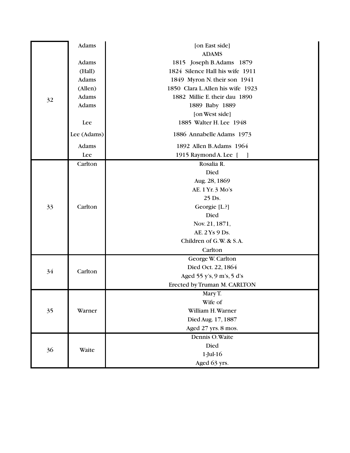|    | Adams       | [on East side]                    |
|----|-------------|-----------------------------------|
|    |             | <b>ADAMS</b>                      |
|    | Adams       | 1815 Joseph B.Adams 1879          |
|    | (Hall)      | 1824 Silence Hall his wife 1911   |
|    | Adams       | 1849 Myron N. their son 1941      |
|    | (Allen)     | 1850 Clara L. Allen his wife 1923 |
| 32 | Adams       | 1882 Millie E. their dau 1890     |
|    | Adams       | 1889 Baby 1889                    |
|    |             | [on West side]                    |
|    | Lee         | 1885 Walter H. Lee 1948           |
|    | Lee (Adams) | 1886 Annabelle Adams 1973         |
|    | Adams       | 1892 Allen B.Adams 1964           |
|    | Lee         | 1915 Raymond A. Lee [<br>$\Box$   |
|    | Carlton     | Rosalia R.                        |
|    |             | Died                              |
|    |             | Aug. 28, 1869                     |
|    |             | AE. 1 Yr. 3 Mo's                  |
|    |             | 25 Ds.                            |
| 33 | Carlton     | Georgie [L.?]                     |
|    |             | Died                              |
|    |             | Nov. 21, 1871,                    |
|    |             | AE. 2 Ys 9 Ds.                    |
|    |             | Children of G.W. & S.A.           |
|    |             | Carlton                           |
|    |             | George W. Carlton                 |
| 34 | Carlton     | Died Oct. 22, 1864                |
|    |             | Aged 55 y's, 9 m's, 5 d's         |
|    |             | Erected by Truman M. CARLTON      |
|    |             | Mary T.                           |
|    |             | Wife of                           |
| 35 | Warner      | William H. Warner                 |
|    |             | Died Aug. 17, 1887                |
|    |             | Aged 27 yrs. 8 mos.               |
|    |             | Dennis O. Waite                   |
| 36 | Waite       | Died                              |
|    |             | $1$ -Jul- $16$                    |
|    |             | Aged 63 yrs.                      |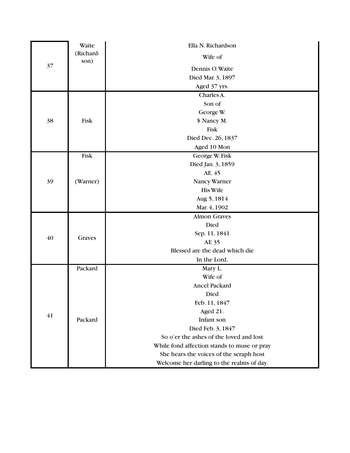|    | Waite             | Ella N. Richardson                          |
|----|-------------------|---------------------------------------------|
|    | (Richard-<br>son) | Wife of                                     |
| 37 |                   | Dennis O. Waite                             |
|    |                   | Died Mar. 3, 1897                           |
|    |                   | Aged 37 yrs.                                |
|    |                   | Charles A.                                  |
|    |                   | Son of                                      |
|    |                   | George W.                                   |
| 38 | Fisk              | \$ Nancy M.                                 |
|    |                   | Fisk                                        |
|    |                   | Died Dec. 26, 1837                          |
|    |                   | Aged 10 Mon                                 |
|    | Fisk              | George W. Fisk                              |
|    |                   | Died Jan. 3, 1859                           |
|    |                   | AE. 45                                      |
| 39 | (Warner)          | Nancy Warner                                |
|    |                   | <b>His Wife</b>                             |
|    |                   | Aug 5, 1814                                 |
|    |                   | Mar. 4, 1902                                |
|    |                   | <b>Almon Graves</b>                         |
|    |                   | Died                                        |
| 40 | Graves            | Sep. 11, 1841                               |
|    |                   | AE 35                                       |
|    |                   | Blessed are the dead which die              |
|    |                   | In the Lord.                                |
|    | Packard           | Mary L.                                     |
|    |                   | Wife of                                     |
|    |                   | Ancel Packard                               |
|    |                   | Died                                        |
| 41 |                   | Feb. 11, 1847                               |
|    |                   | Aged 21.                                    |
|    | Packard           | Infant son                                  |
|    |                   | Died Feb. 3, 1847                           |
|    |                   | So o'er the ashes of the loved and lost     |
|    |                   | While fond affection stands to muse or pray |
|    |                   | She hears the voices of the seraph host     |
|    |                   | Welcome her darling to the realms of day.   |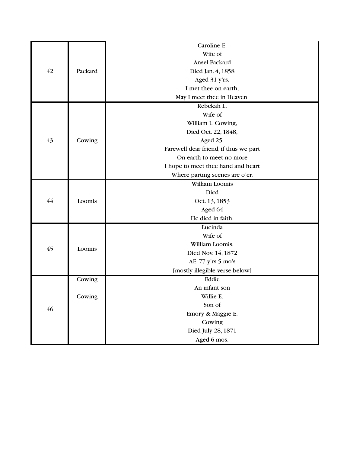|    |         | Caroline E.                           |
|----|---------|---------------------------------------|
|    |         | Wife of                               |
|    |         | Ansel Packard                         |
| 42 | Packard | Died Jan. 4, 1858                     |
|    |         | Aged 31 y'rs.                         |
|    |         | I met thee on earth,                  |
|    |         | May I meet thee in Heaven.            |
|    |         | Rebekah L.                            |
|    |         | Wife of                               |
|    |         | William L. Cowing,                    |
|    |         | Died Oct. 22, 1848,                   |
| 43 | Cowing  | Aged 25.                              |
|    |         | Farewell dear friend, if thus we part |
|    |         | On earth to meet no more              |
|    |         | I hope to meet thee hand and heart    |
|    |         | Where parting scenes are o'er.        |
|    |         | William Loomis                        |
|    |         | Died                                  |
| 44 | Loomis  | Oct. 13, 1853                         |
|    |         | Aged 64                               |
|    |         | He died in faith.                     |
|    |         | Lucinda                               |
|    |         | Wife of                               |
| 45 | Loomis  | William Loomis,                       |
|    |         | Died Nov. 14, 1872                    |
|    |         | AE. 77 y'rs 5 mo's                    |
|    |         | [mostly illegible verse below]        |
|    | Cowing  | Eddie                                 |
| 46 |         | An infant son                         |
|    | Cowing  | Willie E.                             |
|    |         | Son of                                |
|    |         | Emory & Maggie E.                     |
|    |         | Cowing                                |
|    |         | Died July 28, 1871                    |
|    |         | Aged 6 mos.                           |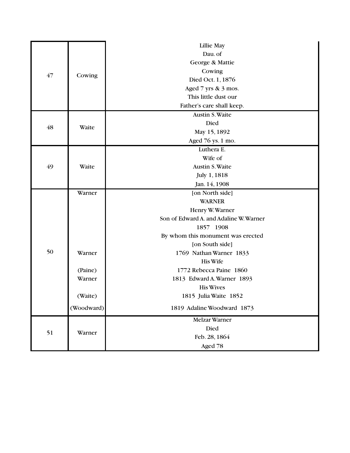|    |            | Lillie May                             |
|----|------------|----------------------------------------|
|    |            | Dau. of                                |
|    |            | George & Mattie                        |
|    |            | Cowing                                 |
| 47 | Cowing     | Died Oct. 1, 1876                      |
|    |            | Aged 7 yrs & 3 mos.                    |
|    |            | This little dust our                   |
|    |            | Father's care shall keep.              |
|    |            | Austin S. Waite                        |
|    |            | Died                                   |
| 48 | Waite      | May 15, 1892                           |
|    |            | Aged 76 ys. 1 mo.                      |
|    |            | Luthera E.                             |
|    |            | Wife of                                |
| 49 | Waite      | Austin S. Waite                        |
|    |            | July 1, 1818                           |
|    |            | Jan. 14, 1908                          |
|    | Warner     | [on North side]                        |
|    |            | <b>WARNER</b>                          |
|    |            | Henry W. Warner                        |
|    |            | Son of Edward A. and Adaline W. Warner |
|    |            | 1857 1908                              |
|    |            | By whom this monument was erected      |
|    |            | [on South side]                        |
| 50 | Warner     | 1769 Nathan Warner 1833                |
|    |            | <b>His Wife</b>                        |
|    | (Paine)    | 1772 Rebecca Paine 1860                |
|    | Warner     | 1813 Edward A. Warner 1893             |
|    |            | <b>His Wives</b>                       |
|    | (Waite)    | 1815 Julia Waite 1852                  |
|    | (Woodward) | 1819 Adaline Woodward 1873             |
|    |            | Melzar Warner                          |
| 51 | Warner     | Died                                   |
|    |            | Feb. 28, 1864                          |
|    |            | Aged 78                                |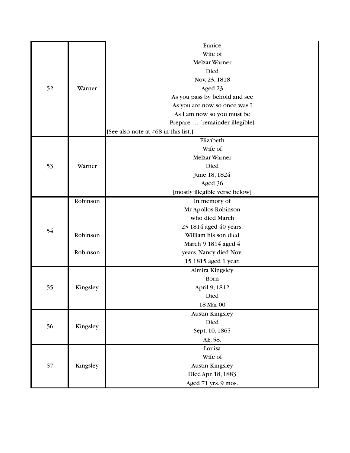|    |          | Eunice                               |
|----|----------|--------------------------------------|
|    |          | Wife of                              |
|    |          | Melzar Warner                        |
|    |          | Died                                 |
|    |          | Nov. 23, 1818                        |
| 52 | Warner   | Aged 23                              |
|    |          | As you pass by behold and see        |
|    |          | As you are now so once was I         |
|    |          | As I am now so you must be           |
|    |          | Prepare  [remainder illegible]       |
|    |          | [See also note at #68 in this list.] |
|    |          | Elizabeth                            |
|    |          | Wife of                              |
|    |          | <b>Melzar Warner</b>                 |
| 53 | Warner   | Died                                 |
|    |          | June 18, 1824                        |
|    |          | Aged 36                              |
|    |          | [mostly illegible verse below]       |
|    | Robinson | In memory of                         |
|    |          | Mr. Apollos Robinson                 |
|    |          | who died March                       |
| 54 |          | 23 1814 aged 40 years.               |
|    | Robinson | William his son died                 |
|    |          | March 9 1814 aged 4                  |
|    | Robinson | years. Nancy died Nov.               |
|    |          | 15 1815 aged 1 year.                 |
|    |          | Almira Kingsley                      |
|    |          | Born                                 |
| 55 | Kingsley | April 9, 1812                        |
|    |          | Died                                 |
|    |          | 18-Mar-00                            |
|    |          | <b>Austin Kingsley</b>               |
| 56 | Kingsley | Died                                 |
|    |          | Sept. 10, 1865                       |
|    |          | AE. 58.                              |
|    |          | Louisa                               |
|    |          | Wife of                              |
| 57 | Kingsley | <b>Austin Kingsley</b>               |
|    |          | Died Apr. 18, 1883                   |
|    |          | Aged 71 yrs. 9 mos.                  |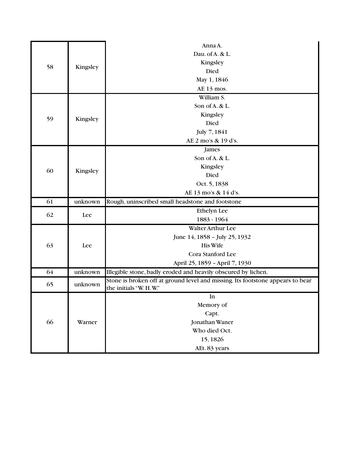|    |          | Anna A.                                                                        |
|----|----------|--------------------------------------------------------------------------------|
|    |          | Dau. of A. & L.                                                                |
|    |          |                                                                                |
| 58 | Kingsley | Kingsley<br>Died                                                               |
|    |          |                                                                                |
|    |          | May 1, 1846                                                                    |
|    |          | AE 13 mos.                                                                     |
|    |          | William S.                                                                     |
|    |          | Son of A. & L.                                                                 |
| 59 | Kingsley | Kingsley                                                                       |
|    |          | Died                                                                           |
|    |          | July 7, 1841                                                                   |
|    |          | AE 2 mo's & 19 d's.                                                            |
|    |          | James                                                                          |
|    |          | Son of A. & L.                                                                 |
|    |          | Kingsley                                                                       |
| 60 | Kingsley | Died                                                                           |
|    |          | Oct. 5, 1838                                                                   |
|    |          | AE 13 mo's & 14 d's.                                                           |
| 61 | unknown  | Rough, uninscribed small headstone and footstone                               |
| 62 | Lee      | Ethelyn Lee                                                                    |
|    |          | 1883 - 1964                                                                    |
|    |          | Walter Arthur Lee                                                              |
|    |          | June 14, 1858 - July 25, 1932                                                  |
| 63 | Lee      | <b>His Wife</b>                                                                |
|    |          | Cora Stanford Lee                                                              |
|    |          | April 25, 1859 - April 7, 1930                                                 |
| 64 | unknown  | Illegible stone, badly eroded and heavily obscured by lichen.                  |
|    |          | Stone is broken off at ground level and missing. Its footstone appears to bear |
| 65 | unknown  | the initials "W. H.W."                                                         |
|    |          | In                                                                             |
|    |          | Memory of                                                                      |
|    |          | Capt.                                                                          |
| 66 | Warner   | Jonathan Waner                                                                 |
|    |          | Who died Oct.                                                                  |
|    |          | 15,1826                                                                        |
|    |          | AEt. 83 years                                                                  |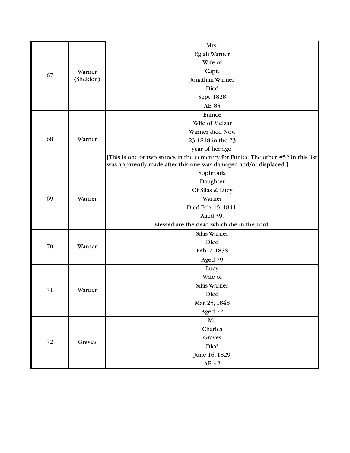|        |           | Mrs.                                                                                   |
|--------|-----------|----------------------------------------------------------------------------------------|
|        |           | Eglah Warner                                                                           |
|        |           | Wife of                                                                                |
|        | Warner    | Capt.                                                                                  |
| 67     | (Sheldon) | Jonathan Warner                                                                        |
|        |           | Died                                                                                   |
|        |           | Sept. 1828                                                                             |
|        |           | AE.83                                                                                  |
|        |           | Eunice                                                                                 |
|        |           | Wife of Melzar                                                                         |
|        |           | Warner died Nov.                                                                       |
| 68     | Warner    | 23 1818 in the 23                                                                      |
|        |           | year of her age.                                                                       |
|        |           | [This is one of two stones in the cemetery for Eunice. The other, $\#52$ in this list, |
|        |           | was apparently made after this one was damaged and/or displaced.]                      |
|        |           | Sophronia                                                                              |
|        |           | Daughter                                                                               |
|        |           | Of Silas & Lucy                                                                        |
| 69     | Warner    | Warner                                                                                 |
|        |           | Died Feb. 15, 1841,                                                                    |
|        |           | Aged 39.                                                                               |
|        |           | Blessed are the dead which die in the Lord.                                            |
|        | Warner    | Silas Warner                                                                           |
| 70     |           | Died                                                                                   |
|        |           | Feb. 7, 1858                                                                           |
|        |           | Aged 79                                                                                |
|        | Warner    | Lucy                                                                                   |
|        |           | Wife of                                                                                |
| 71     |           | Silas Warner                                                                           |
|        |           | Died                                                                                   |
|        |           | Mar. 25, 1848                                                                          |
|        |           | Aged 72                                                                                |
| $72\,$ |           | Mr.                                                                                    |
|        | Graves    | Charles                                                                                |
|        |           | Graves                                                                                 |
|        |           | Died                                                                                   |
|        |           | June 16, 1829                                                                          |
|        |           | AE. 42                                                                                 |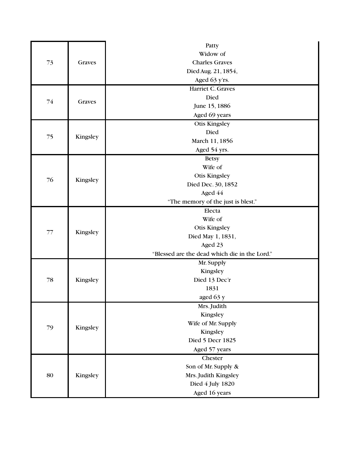|        |          | Patty                                         |  |  |  |
|--------|----------|-----------------------------------------------|--|--|--|
|        |          | Widow of                                      |  |  |  |
| 73     | Graves   | <b>Charles Graves</b>                         |  |  |  |
|        |          | Died Aug. 21, 1854,                           |  |  |  |
|        |          | Aged 63 y'rs.                                 |  |  |  |
|        |          | Harriet C. Graves                             |  |  |  |
| 74     | Graves   | Died                                          |  |  |  |
|        |          | June 15, 1886                                 |  |  |  |
|        |          | Aged 69 years                                 |  |  |  |
|        |          | Otis Kingsley                                 |  |  |  |
| 75     | Kingsley | Died                                          |  |  |  |
|        |          | March 11, 1856                                |  |  |  |
|        |          | Aged 54 yrs.                                  |  |  |  |
|        |          | <b>Betsy</b>                                  |  |  |  |
|        |          | Wife of                                       |  |  |  |
| 76     | Kingsley | <b>Otis Kingsley</b>                          |  |  |  |
|        |          | Died Dec. 30, 1852                            |  |  |  |
|        |          | Aged 44                                       |  |  |  |
|        |          | "The memory of the just is blest."            |  |  |  |
|        |          | Electa                                        |  |  |  |
|        |          | Wife of                                       |  |  |  |
| $77\,$ | Kingsley | <b>Otis Kingsley</b>                          |  |  |  |
|        |          | Died May 1, 1831,                             |  |  |  |
|        |          | Aged 23                                       |  |  |  |
|        |          | "Blessed are the dead which die in the Lord." |  |  |  |
|        |          | Mr. Supply                                    |  |  |  |
|        |          | Kingsley                                      |  |  |  |
| 78     | Kingsley | Died 13 Dec'r                                 |  |  |  |
|        |          | 1831                                          |  |  |  |
|        |          | aged 63 y                                     |  |  |  |
|        |          | Mrs. Judith                                   |  |  |  |
|        |          | Kingsley                                      |  |  |  |
| 79     | Kingsley | Wife of Mr. Supply                            |  |  |  |
|        |          | Kingsley                                      |  |  |  |
|        |          | Died 5 Decr 1825                              |  |  |  |
|        |          | Aged 57 years                                 |  |  |  |
|        |          | Chester                                       |  |  |  |
|        |          | Son of Mr. Supply &                           |  |  |  |
| 80     | Kingsley | Mrs. Judith Kingsley                          |  |  |  |
|        |          | Died 4 July 1820                              |  |  |  |
|        |          | Aged 16 years                                 |  |  |  |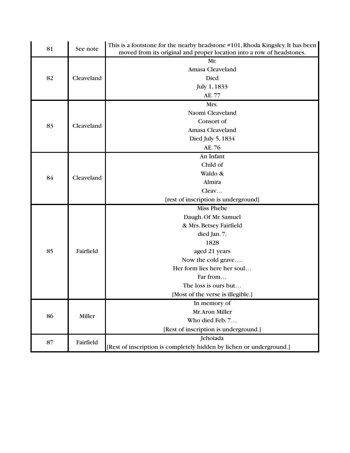| 81 | See note   | This is a footstone for the nearby headstone #101, Rhoda Kingsley. It has been<br>moved from its original and proper location into a row of headstones. |  |  |  |  |
|----|------------|---------------------------------------------------------------------------------------------------------------------------------------------------------|--|--|--|--|
|    |            | Mr.                                                                                                                                                     |  |  |  |  |
|    |            | Amasa Cleaveland                                                                                                                                        |  |  |  |  |
| 82 | Cleaveland | Died                                                                                                                                                    |  |  |  |  |
|    |            | July 1, 1833                                                                                                                                            |  |  |  |  |
|    |            | AE. 77                                                                                                                                                  |  |  |  |  |
|    |            | Mrs.                                                                                                                                                    |  |  |  |  |
|    |            | Naomi Cleaveland                                                                                                                                        |  |  |  |  |
| 83 | Cleaveland | Consort of                                                                                                                                              |  |  |  |  |
|    |            | Amasa Cleaveland                                                                                                                                        |  |  |  |  |
|    |            | Died July 5, 1834                                                                                                                                       |  |  |  |  |
|    |            | AE. 76                                                                                                                                                  |  |  |  |  |
|    |            | An Infant                                                                                                                                               |  |  |  |  |
|    | Cleaveland | Child of                                                                                                                                                |  |  |  |  |
| 84 |            | Waldo &                                                                                                                                                 |  |  |  |  |
|    |            | Almira                                                                                                                                                  |  |  |  |  |
|    |            | Cleav                                                                                                                                                   |  |  |  |  |
|    |            | [rest of inscription is underground]                                                                                                                    |  |  |  |  |
|    |            | <b>Miss Phebe</b>                                                                                                                                       |  |  |  |  |
|    | Fairfield  | Daugh. Of Mr. Samuel                                                                                                                                    |  |  |  |  |
|    |            | & Mrs. Betsey Fairfield                                                                                                                                 |  |  |  |  |
|    |            | died Jan. 7,                                                                                                                                            |  |  |  |  |
|    |            | 1828                                                                                                                                                    |  |  |  |  |
| 85 |            | aged 21 years                                                                                                                                           |  |  |  |  |
|    |            | Now the cold grave                                                                                                                                      |  |  |  |  |
|    |            | Her form lies here her soul                                                                                                                             |  |  |  |  |
|    |            | Far from                                                                                                                                                |  |  |  |  |
|    |            | The loss is ours but                                                                                                                                    |  |  |  |  |
|    |            | [Most of the verse is illegible.]                                                                                                                       |  |  |  |  |
|    |            | In memory of                                                                                                                                            |  |  |  |  |
| 86 | Miller     | Mr. Aron Miller                                                                                                                                         |  |  |  |  |
|    |            | Who died Feb. 7                                                                                                                                         |  |  |  |  |
|    |            | [Rest of inscription is underground.]                                                                                                                   |  |  |  |  |
| 87 | Fairfield  | Jehoiada                                                                                                                                                |  |  |  |  |
|    |            | [Rest of inscription is completely hidden by lichen or underground.]                                                                                    |  |  |  |  |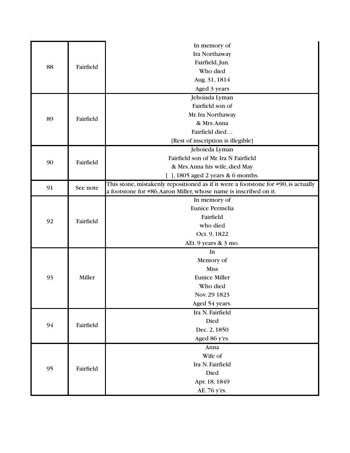|    |           | In memory of                                                                       |  |  |
|----|-----------|------------------------------------------------------------------------------------|--|--|
| 88 |           | Ira Northaway                                                                      |  |  |
|    | Fairfield | Fairfield, Jun.                                                                    |  |  |
|    |           | Who died                                                                           |  |  |
|    |           | Aug. 31, 1814                                                                      |  |  |
|    |           | Aged 3 years                                                                       |  |  |
|    |           | Jehoiada Lyman                                                                     |  |  |
|    |           | Fairfield son of                                                                   |  |  |
| 89 | Fairfield | Mr. Ira Northaway                                                                  |  |  |
|    |           | & Mrs.Anna                                                                         |  |  |
|    |           | Fairfield died                                                                     |  |  |
|    |           | [Rest of inscription is illegible]                                                 |  |  |
|    |           | Jehoieda Lyman                                                                     |  |  |
| 90 | Fairfield | Fairfield son of Mr. Ira N Fairfield                                               |  |  |
|    |           | & Mrs. Anna his wife, died May                                                     |  |  |
|    |           | [ ], 1805 aged 2 years & 6 months.                                                 |  |  |
| 91 | See note  | This stone, mistakenly repositioned as if it were a footstone for #90, is actually |  |  |
|    |           | a footstone for #86, Aaron Miller, whose name is inscribed on it.                  |  |  |
|    | Fairfield | In memory of                                                                       |  |  |
|    |           | Eunice Permelia                                                                    |  |  |
| 92 |           | Fairfield                                                                          |  |  |
|    |           | who died                                                                           |  |  |
|    |           | Oct. 9, 1822                                                                       |  |  |
|    |           | AEt. 9 years & 3 mo.                                                               |  |  |
|    |           | In                                                                                 |  |  |
|    |           | Memory of<br><b>Miss</b>                                                           |  |  |
|    | Miller    | <b>Eunice Miller</b>                                                               |  |  |
| 93 |           |                                                                                    |  |  |
|    |           | Who died                                                                           |  |  |
|    |           | Nov. 29 1823                                                                       |  |  |
|    |           | Aged 54 years.<br>Ira N. Fairfield                                                 |  |  |
|    |           | Died                                                                               |  |  |
| 94 | Fairfield | Dec. 2, 1850                                                                       |  |  |
|    |           |                                                                                    |  |  |
|    |           | Aged 86 y'rs.                                                                      |  |  |
|    |           | Anna<br>Wife of                                                                    |  |  |
|    |           | Ira N. Fairfield                                                                   |  |  |
| 95 | Fairfield | Died                                                                               |  |  |
|    |           | Apr. 18, 1849                                                                      |  |  |
|    |           |                                                                                    |  |  |
|    |           | AE. 76 y'rs.                                                                       |  |  |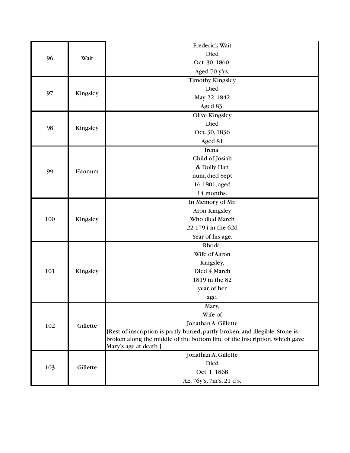|     |          | Frederick Wait                                                                |  |  |
|-----|----------|-------------------------------------------------------------------------------|--|--|
|     |          | Died                                                                          |  |  |
| 96  | Wait     | Oct. 30, 1860,                                                                |  |  |
|     |          | Aged 70 y'rs.                                                                 |  |  |
|     |          | <b>Timothy Kingsley</b>                                                       |  |  |
|     |          | Died                                                                          |  |  |
| 97  | Kingsley | May 22, 1842                                                                  |  |  |
|     |          | Aged 83.                                                                      |  |  |
|     |          | <b>Olive Kingsley</b>                                                         |  |  |
| 98  | Kingsley | Died                                                                          |  |  |
|     |          | Oct. 30, 1836                                                                 |  |  |
|     |          | Aged 81                                                                       |  |  |
|     |          | Irena,                                                                        |  |  |
|     |          | Child of Josiah                                                               |  |  |
| 99  | Hannum   | & Dolly Han                                                                   |  |  |
|     |          | num, died Sept                                                                |  |  |
|     |          | 16 1801, aged                                                                 |  |  |
|     |          | 14 months.                                                                    |  |  |
|     |          | In Memory of Mr.                                                              |  |  |
|     |          | Aron Kingsley                                                                 |  |  |
| 100 | Kingsley | Who died March                                                                |  |  |
|     |          | 22 1794 in the 62d                                                            |  |  |
|     |          | Year of his age.                                                              |  |  |
|     |          | Rhoda,                                                                        |  |  |
|     |          | Wife of Aaron                                                                 |  |  |
|     |          | Kingsley,                                                                     |  |  |
| 101 | Kingsley | Died 4 March                                                                  |  |  |
|     |          | 1819 in the 82                                                                |  |  |
|     |          | year of her                                                                   |  |  |
|     |          | age.                                                                          |  |  |
|     |          | Mary,                                                                         |  |  |
|     |          | Wife of                                                                       |  |  |
| 102 | Gillette | Jonathan A. Gillette                                                          |  |  |
|     |          | [Rest of inscription is partly buried, partly broken, and illegible. Stone is |  |  |
|     |          | broken along the middle of the bottom line of the inscription, which gave     |  |  |
|     |          | Mary's age at death.]<br>Jonathan A. Gillette                                 |  |  |
|     |          | Died                                                                          |  |  |
| 103 | Gillette |                                                                               |  |  |
|     |          | Oct. 1, 1868                                                                  |  |  |
|     |          | AE. 76y's. 7m's. 21 d's.                                                      |  |  |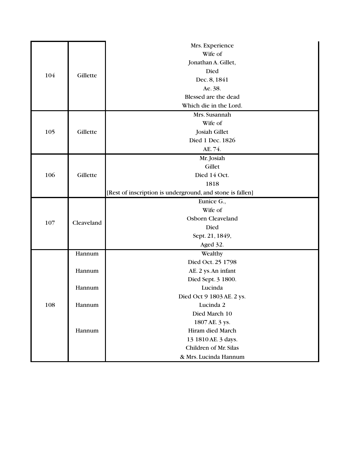|                          |            | Mrs. Experience                                           |  |  |  |  |
|--------------------------|------------|-----------------------------------------------------------|--|--|--|--|
|                          |            | Wife of                                                   |  |  |  |  |
|                          |            | Jonathan A. Gillet,                                       |  |  |  |  |
|                          | Gillette   | Died                                                      |  |  |  |  |
|                          |            | Dec. 8, 1841                                              |  |  |  |  |
|                          |            | Ae. 38.                                                   |  |  |  |  |
|                          |            | Blessed are the dead                                      |  |  |  |  |
| 104<br>105<br>106<br>107 |            | Which die in the Lord.                                    |  |  |  |  |
|                          |            | Mrs. Susannah                                             |  |  |  |  |
|                          |            | Wife of                                                   |  |  |  |  |
|                          | Gillette   | Josiah Gillet                                             |  |  |  |  |
|                          |            | Died 1 Dec. 1826                                          |  |  |  |  |
|                          |            | AE. 74.                                                   |  |  |  |  |
|                          |            | Mr. Josiah                                                |  |  |  |  |
|                          |            | Gillet                                                    |  |  |  |  |
|                          | Gillette   | Died 14 Oct.                                              |  |  |  |  |
|                          |            | 1818                                                      |  |  |  |  |
|                          |            | [Rest of inscription is underground, and stone is fallen] |  |  |  |  |
|                          |            | Eunice G.,                                                |  |  |  |  |
|                          |            | Wife of                                                   |  |  |  |  |
|                          | Cleaveland | Osborn Cleaveland                                         |  |  |  |  |
|                          |            | Died                                                      |  |  |  |  |
|                          |            | Sept. 21, 1849,                                           |  |  |  |  |
|                          |            | Aged 32.                                                  |  |  |  |  |
|                          | Hannum     | Wealthy                                                   |  |  |  |  |
|                          |            | Died Oct. 25 1798                                         |  |  |  |  |
|                          | Hannum     | AE. 2 ys. An infant                                       |  |  |  |  |
|                          |            | Died Sept. 3 1800.                                        |  |  |  |  |
|                          | Hannum     | Lucinda                                                   |  |  |  |  |
|                          |            | Died Oct 9 1803 AE. 2 ys.                                 |  |  |  |  |
| 108                      | Hannum     | Lucinda 2                                                 |  |  |  |  |
|                          |            | Died March 10                                             |  |  |  |  |
|                          |            | 1807 AE. 3 ys.                                            |  |  |  |  |
|                          | Hannum     | Hiram died March                                          |  |  |  |  |
|                          |            | 13 1810 AE. 3 days.                                       |  |  |  |  |
|                          |            | Children of Mr. Silas                                     |  |  |  |  |
|                          |            | & Mrs. Lucinda Hannum                                     |  |  |  |  |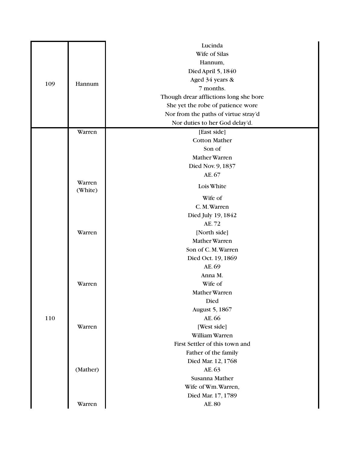|     |                   | Lucinda                                |
|-----|-------------------|----------------------------------------|
|     |                   | Wife of Silas                          |
|     |                   | Hannum,                                |
|     |                   | Died April 5, 1840                     |
|     |                   | Aged 34 years &                        |
| 109 | Hannum            | 7 months.                              |
|     |                   | Though drear afflictions long she bore |
|     |                   | She yet the robe of patience wore      |
|     |                   | Nor from the paths of virtue stray'd   |
|     |                   | Nor duties to her God delay'd.         |
|     | Warren            | [East side]                            |
|     |                   | <b>Cotton Mather</b>                   |
|     |                   | Son of                                 |
|     |                   | Mather Warren                          |
|     |                   | Died Nov. 9, 1837                      |
|     |                   | AE. 67                                 |
|     | Warren<br>(White) | Lois White                             |
|     |                   | Wife of                                |
|     |                   | C. M. Warren                           |
|     |                   | Died July 19, 1842                     |
|     | Warren            | AE. 72                                 |
|     |                   | [North side]                           |
|     |                   | Mather Warren                          |
|     |                   | Son of C.M.Warren                      |
|     |                   | Died Oct. 19, 1869                     |
|     |                   | AE. 69                                 |
|     |                   | Anna M.                                |
|     | Warren            | Wife of                                |
|     |                   | Mather Warren                          |
|     |                   | Died                                   |
|     |                   | August 5, 1867                         |
| 110 |                   | AE. 66                                 |
|     | Warren            | [West side]                            |
|     |                   | William Warren                         |
|     |                   | First Settler of this town and         |
|     |                   | Father of the family                   |
|     |                   | Died Mar. 12, 1768                     |
|     | (Mather)          | AE. 63                                 |
|     |                   | Susanna Mather                         |
|     |                   | Wife of Wm. Warren,                    |
|     |                   | Died Mar. 17, 1789                     |
|     | Warren            | AE.80                                  |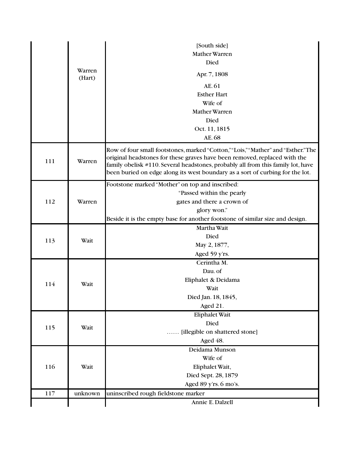|     |                  | [South side]                                                                                                                                                                                                                                                                                                                        |
|-----|------------------|-------------------------------------------------------------------------------------------------------------------------------------------------------------------------------------------------------------------------------------------------------------------------------------------------------------------------------------|
|     |                  | <b>Mather Warren</b>                                                                                                                                                                                                                                                                                                                |
|     |                  | Died                                                                                                                                                                                                                                                                                                                                |
|     | Warren<br>(Hart) | Apr. 7, 1808                                                                                                                                                                                                                                                                                                                        |
|     |                  | AE. 61                                                                                                                                                                                                                                                                                                                              |
|     |                  | <b>Esther Hart</b>                                                                                                                                                                                                                                                                                                                  |
|     |                  | Wife of                                                                                                                                                                                                                                                                                                                             |
|     |                  | Mather Warren                                                                                                                                                                                                                                                                                                                       |
|     |                  | Died                                                                                                                                                                                                                                                                                                                                |
|     |                  | Oct. 11, 1815                                                                                                                                                                                                                                                                                                                       |
|     |                  | AE. 68                                                                                                                                                                                                                                                                                                                              |
| 111 | Warren           | Row of four small footstones, marked "Cotton," "Lois," "Mather" and "Esther." The<br>original headstones for these graves have been removed, replaced with the<br>family obelisk #110. Several headstones, probably all from this family lot, have<br>been buried on edge along its west boundary as a sort of curbing for the lot. |
|     |                  | Footstone marked "Mother" on top and inscribed:                                                                                                                                                                                                                                                                                     |
|     |                  | "Passed within the pearly                                                                                                                                                                                                                                                                                                           |
| 112 | Warren           | gates and there a crown of                                                                                                                                                                                                                                                                                                          |
|     |                  | glory won."                                                                                                                                                                                                                                                                                                                         |
|     |                  | Beside it is the empty base for another footstone of similar size and design.                                                                                                                                                                                                                                                       |
|     |                  | Martha Wait                                                                                                                                                                                                                                                                                                                         |
| 113 | Wait             | Died                                                                                                                                                                                                                                                                                                                                |
|     |                  | May 2, 1877,                                                                                                                                                                                                                                                                                                                        |
|     |                  | Aged 59 y'rs.                                                                                                                                                                                                                                                                                                                       |
|     |                  | Cerintha M.                                                                                                                                                                                                                                                                                                                         |
|     |                  | Dau. of                                                                                                                                                                                                                                                                                                                             |
| 114 | Wait             | Eliphalet & Deidama                                                                                                                                                                                                                                                                                                                 |
|     |                  | Wait                                                                                                                                                                                                                                                                                                                                |
|     |                  | Died Jan. 18, 1845,                                                                                                                                                                                                                                                                                                                 |
|     |                  | Aged 21.                                                                                                                                                                                                                                                                                                                            |
|     |                  | Eliphalet Wait                                                                                                                                                                                                                                                                                                                      |
| 115 | Wait             | Died                                                                                                                                                                                                                                                                                                                                |
|     |                  | [illegible on shattered stone]                                                                                                                                                                                                                                                                                                      |
|     |                  | Aged 48.                                                                                                                                                                                                                                                                                                                            |
|     |                  | Deidama Munson                                                                                                                                                                                                                                                                                                                      |
|     |                  | Wife of                                                                                                                                                                                                                                                                                                                             |
| 116 | Wait             | Eliphalet Wait,                                                                                                                                                                                                                                                                                                                     |
|     |                  | Died Sept. 28, 1879                                                                                                                                                                                                                                                                                                                 |
|     |                  | Aged 89 y'rs. 6 mo's.                                                                                                                                                                                                                                                                                                               |
| 117 | unknown          | uninscribed rough fieldstone marker                                                                                                                                                                                                                                                                                                 |
|     |                  | Annie E. Dalzell                                                                                                                                                                                                                                                                                                                    |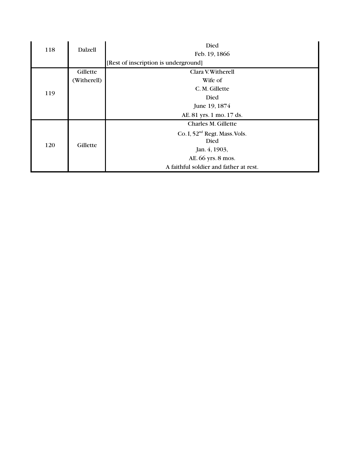| 118 | Dalzell     | Died                                      |  |  |  |  |  |  |
|-----|-------------|-------------------------------------------|--|--|--|--|--|--|
|     |             | Feb. 19, 1866                             |  |  |  |  |  |  |
|     |             | [Rest of inscription is underground]      |  |  |  |  |  |  |
|     | Gillette    | Clara V. Witherell                        |  |  |  |  |  |  |
|     | (Witherell) | Wife of                                   |  |  |  |  |  |  |
| 119 |             | C. M. Gillette                            |  |  |  |  |  |  |
|     |             | Died                                      |  |  |  |  |  |  |
|     |             | June 19, 1874                             |  |  |  |  |  |  |
|     |             | AE. 81 yrs. 1 mo. 17 ds.                  |  |  |  |  |  |  |
|     |             | Charles M. Gillette                       |  |  |  |  |  |  |
|     | Gillette    | Co. I, 52 <sup>nd</sup> Regt. Mass. Vols. |  |  |  |  |  |  |
| 120 |             | Died                                      |  |  |  |  |  |  |
|     |             | Jan. 4, 1903,                             |  |  |  |  |  |  |
|     |             | AE. 66 yrs. 8 mos.                        |  |  |  |  |  |  |
|     |             | A faithful soldier and father at rest.    |  |  |  |  |  |  |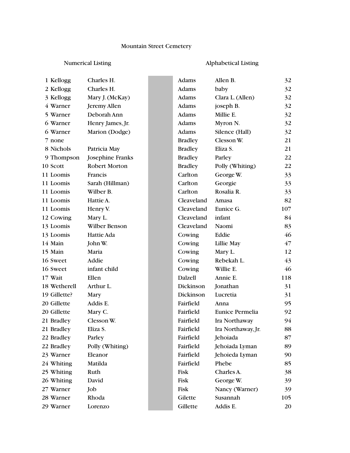### Mountain Street Cemetery

### Numerical Listing **Alphabetical Listing**

| 1 Kellogg    | Charles H.       | Adams          | Allen B.               | 32  |
|--------------|------------------|----------------|------------------------|-----|
| 2 Kellogg    | Charles H.       | <b>Adams</b>   | baby                   | 32  |
| 3 Kellogg    | Mary J. (McKay)  | Adams          | Clara L. (Allen)       | 32  |
| 4 Warner     | Jeremy Allen     | Adams          | joseph B.              | 32  |
| 5 Warner     | Deborah Ann      | <b>Adams</b>   | Millie E.              | 32  |
| 6 Warner     | Henry James, Jr. | Adams          | Myron N.               | 32  |
| 6 Warner     | Marion (Dodge)   | Adams          | Silence (Hall)         | 32  |
| 7 none       |                  | <b>Bradley</b> | Clesson W.             | 21  |
| 8 Nichols    | Patricia May     | <b>Bradley</b> | Eliza S.               | 21  |
| 9 Thompson   | Josephine Franks | <b>Bradley</b> | Parley                 | 22  |
| 10 Scott     | Robert Morton    | <b>Bradley</b> | Polly (Whiting)        | 22  |
| 11 Loomis    | Francis          | Carlton        | George W.              | 33  |
| 11 Loomis    | Sarah (Hillman)  | Carlton        | Georgie                | 33  |
| 11 Loomis    | Wilber B.        | Carlton        | Rosalia R.             | 33  |
| 11 Loomis    | Hattie A.        | Cleaveland     | Amasa                  | 82  |
| 11 Loomis    | Henry V.         | Cleaveland     | Eunice G.              | 107 |
| 12 Cowing    | Mary L.          | Cleaveland     | infant                 | 84  |
| 13 Loomis    | Wilber Benson    | Cleaveland     | Naomi                  | 83  |
| 13 Loomis    | Hattie Ada       | Cowing         | Eddie                  | 46  |
| 14 Main      | John W.          | Cowing         | Lillie May             | 47  |
| 15 Main      | Maria            | Cowing         | Mary L.                | 12  |
| 16 Sweet     | Addie            | Cowing         | Rebekah L.             | 43  |
| 16 Sweet     | infant child     | Cowing         | Willie E.              | 46  |
| 17 Wait      | Ellen            | Dalzell        | Annie E.               | 118 |
| 18 Wetherell | Arthur L.        | Dickinson      | Jonathan               | 31  |
| 19 Gillette? | Mary             | Dickinson      | Lucretia               | 31  |
| 20 Gillette  | Addis E.         | Fairfield      | Anna                   | 95  |
| 20 Gillette  | Mary C.          | Fairfield      | <b>Eunice Permelia</b> | 92  |
| 21 Bradley   | Clesson W.       | Fairfield      | Ira Northaway          | 94  |
| 21 Bradley   | Eliza S.         | Fairfield      | Ira Northaway, Jr.     | 88  |
| 22 Bradley   | Parley           | Fairfield      | Jehoiada               | 87  |
| 22 Bradley   | Polly (Whiting)  | Fairfield      | Jehoiada Lyman         | 89  |
| 23 Warner    | Eleanor          | Fairfield      | Jehoieda Lyman         | 90  |
| 24 Whiting   | Matilda          | Fairfield      | Phebe                  | 85  |
| 25 Whiting   | Ruth             | Fisk           | Charles A.             | 38  |
| 26 Whiting   | David            | Fisk           | George W.              | 39  |
| 27 Warner    | Job              | Fisk           | Nancy (Warner)         | 39  |
| 28 Warner    | Rhoda            | Gilette        | Susannah               | 105 |
| 29 Warner    | Lorenzo          | Gillette       | Addis E.               | 20  |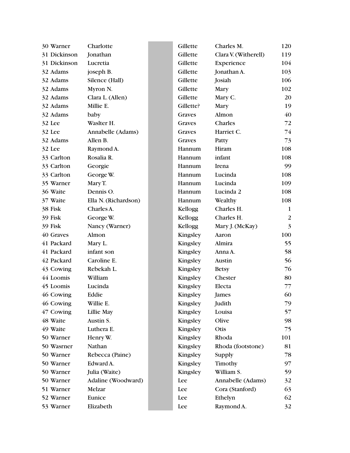| 30 Warner    | Charlotte            | Gillette  | Charles M.           | 120            |
|--------------|----------------------|-----------|----------------------|----------------|
| 31 Dickinson | Jonathan             | Gillette  | Clara V. (Witherell) | 119            |
| 31 Dickinson | Lucretia             | Gillette  | Experience           | 104            |
| 32 Adams     | joseph B.            | Gillette  | Jonathan A.          | 103            |
| 32 Adams     | Silence (Hall)       | Gillette  | Josiah               | 106            |
| 32 Adams     | Myron N.             | Gillette  | Mary                 | 102            |
| 32 Adams     | Clara L. (Allen)     | Gillette  | Mary C.              | 20             |
| 32 Adams     | Millie E.            | Gillette? | Mary                 | 19             |
| 32 Adams     | baby                 | Graves    | Almon                | 40             |
| 32 Lee       | Waslter H.           | Graves    | Charles              | 72             |
| 32 Lee       | Annabelle (Adams)    | Graves    | Harriet C.           | 74             |
| 32 Adams     | Allen B.             | Graves    | Patty                | 73             |
| 32 Lee       | Raymond A.           | Hannum    | Hiram                | 108            |
| 33 Carlton   | Rosalia R.           | Hannum    | infant               | 108            |
| 33 Carlton   | Georgie              | Hannum    | Irena                | 99             |
| 33 Carlton   | George W.            | Hannum    | Lucinda              | 108            |
| 35 Warner    | Mary T.              | Hannum    | Lucinda              | 109            |
| 36 Waite     | Dennis O.            | Hannum    | Lucinda 2            | 108            |
| 37 Waite     | Ella N. (Richardson) | Hannum    | Wealthy              | 108            |
| 38 Fisk      | Charles A.           | Kellogg   | Charles H.           | $\mathbf{1}$   |
| 39 Fisk      | George W.            | Kellogg   | Charles H.           | $\sqrt{2}$     |
| 39 Fisk      | Nancy (Warner)       | Kellogg   | Mary J. (McKay)      | $\overline{3}$ |
| 40 Graves    | Almon                | Kingsley  | Aaron                | 100            |
| 41 Packard   | Mary L.              | Kingsley  | Almira               | 55             |
| 41 Packard   | infant son           | Kingsley  | Anna A.              | 58             |
| 42 Packard   | Caroline E.          | Kingsley  | Austin               | 56             |
| 43 Cowing    | Rebekah L.           | Kingsley  | <b>Betsy</b>         | 76             |
| 44 Loomis    | William              | Kingsley  | Chester              | 80             |
| 45 Loomis    | Lucinda              | Kingsley  | Electa               | 77             |
| 46 Cowing    | Eddie                | Kingsley  | James                | 60             |
| 46 Cowing    | Willie E.            | Kingsley  | Judith               | 79             |
| 47 Cowing    | Lillie May           | Kingsley  | Louisa               | 57             |
| 48 Waite     | Austin S.            | Kingsley  | Olive                | 98             |
| 49 Waite     | Luthera E.           | Kingsley  | Otis                 | 75             |
| 50 Warner    | Henry W.             | Kingsley  | Rhoda                | 101            |
| 50 Wasrner   | Nathan               | Kingsley  | Rhoda (footstone)    | 81             |
| 50 Warner    | Rebecca (Paine)      | Kingsley  | Supply               | 78             |
| 50 Warner    | Edward A.            | Kingsley  | Timothy              | 97             |
| 50 Warner    | Julia (Waite)        | Kingsley  | William S.           | 59             |
| 50 Warner    | Adaline (Woodward)   | Lee       | Annabelle (Adams)    | 32             |
| 51 Warner    | Melzar               | Lee       | Cora (Stanford)      | 63             |
| 52 Warner    | Eunice               | Lee       | Ethelyn              | 62             |
| 53 Warner    | Elizabeth            | Lee       | Raymond A.           | 32             |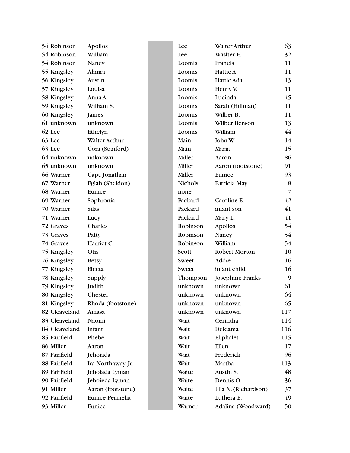| 54 Robinson   | Apollos            | Lee            | Walter Arthur        | 63             |
|---------------|--------------------|----------------|----------------------|----------------|
| 54 Robinson   | William            | Lee            | Waslter H.           | 32             |
| 54 Robinson   | Nancy              | Loomis         | Francis              | 11             |
| 55 Kingsley   | Almira             | Loomis         | Hattie A.            | 11             |
| 56 Kingsley   | Austin             | Loomis         | Hattie Ada           | 13             |
| 57 Kingsley   | Louisa             | Loomis         | Henry V.             | 11             |
| 58 Kingsley   | Anna A.            | Loomis         | Lucinda              | 45             |
| 59 Kingsley   | William S.         | Loomis         | Sarah (Hillman)      | 11             |
| 60 Kingsley   | James              | Loomis         | Wilber B.            | 11             |
| 61 unknown    | unknown            | Loomis         | Wilber Benson        | 13             |
| 62 Lee        | Ethelyn            | Loomis         | William              | 44             |
| 63 Lee        | Walter Arthur      | Main           | John W.              | 14             |
| 63 Lee        | Cora (Stanford)    | Main           | Maria                | 15             |
| 64 unknown    | unknown            | Miller         | Aaron                | 86             |
| 65 unknown    | unknown            | Miller         | Aaron (footstone)    | 91             |
| 66 Warner     | Capt. Jonathan     | Miller         | Eunice               | 93             |
| 67 Warner     | Eglah (Sheldon)    | <b>Nichols</b> | Patricia May         | 8              |
| 68 Warner     | Eunice             | none           |                      | $\overline{7}$ |
| 69 Warner     | Sophronia          | Packard        | Caroline E.          | 42             |
| 70 Warner     | <b>Silas</b>       | Packard        | infant son           | 41             |
| 71 Warner     | Lucy               | Packard        | Mary L.              | 41             |
| 72 Graves     | Charles            | Robinson       | Apollos              | 54             |
| 73 Graves     | Patty              | Robinson       | Nancy                | 54             |
| 74 Graves     | Harriet C.         | Robinson       | William              | 54             |
| 75 Kingsley   | Otis               | Scott          | Robert Morton        | 10             |
| 76 Kingsley   | <b>Betsy</b>       | Sweet          | Addie                | 16             |
| 77 Kingsley   | Electa             | Sweet          | infant child         | 16             |
| 78 Kingsley   | Supply             | Thompson       | Josephine Franks     | 9              |
| 79 Kingsley   | Judith             | unknown        | unknown              | 61             |
| 80 Kingsley   | Chester            | unknown        | unknown              | 64             |
| 81 Kingsley   | Rhoda (footstone)  | unknown        | unknown              | 65             |
| 82 Cleaveland | Amasa              | unknown        | unknown              | 117            |
| 83 Cleaveland | Naomi              | Wait           | Cerintha             | 114            |
| 84 Cleaveland | infant             | Wait           | Deidama              | 116            |
| 85 Fairfield  | Phebe              | Wait           | Eliphalet            | 115            |
| 86 Miller     | Aaron              | Wait           | Ellen                | 17             |
| 87 Fairfield  | Jehoiada           | Wait           | Frederick            | 96             |
| 88 Fairfield  | Ira Northaway, Jr. | Wait           | Martha               | 113            |
| 89 Fairfield  | Jehoiada Lyman     | Waite          | Austin S.            | 48             |
| 90 Fairfield  | Jehoieda Lyman     | Waite          | Dennis O.            | 36             |
| 91 Miller     | Aaron (footstone)  | Waite          | Ella N. (Richardson) | 37             |
| 92 Fairfield  | Eunice Permelia    | Waite          | Luthera E.           | 49             |
| 93 Miller     | Eunice             | Warner         | Adaline (Woodward)   | 50             |